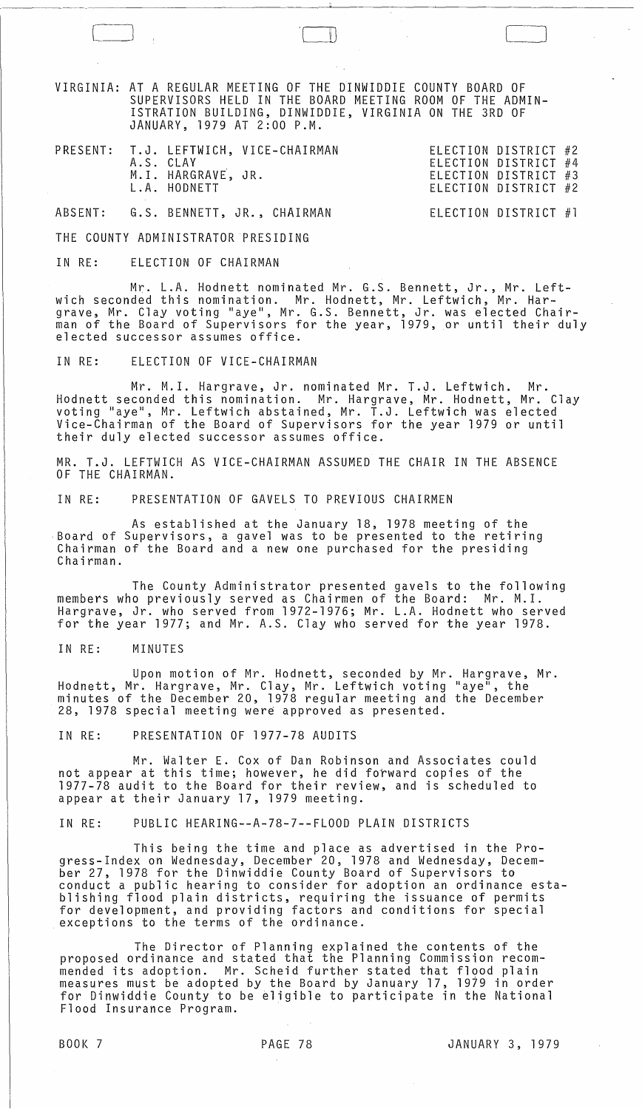VIRGINIA: AT A REGULAR MEETING OF THE DINWIDDIE COUNTY BOARD OF SUPERVISORS HELD IN THE BOARD MEETING ROOM OF THE ADMIN-ISTRATION BUILDING, DINWIDDIE, VIRGINIA ON THE 3RD OF JANUARY, 1979 AT 2:00 P.M.

|  | A.S. CLAY<br>M.I. HARGRAVE, JR. | PRESENT: T.J. LEFTWICH, VICE-CHAIRMAN | ELECTION DISTRICT #2<br>ELECTION DISTRICT #4<br>ELECTION DISTRICT #3 |  |
|--|---------------------------------|---------------------------------------|----------------------------------------------------------------------|--|
|  | L.A. HODNETT                    |                                       | ELECTION DISTRICT #2                                                 |  |

ABSENT: G.S. BENNETT, JR., CHAIRMAN ELECTION DISTRICT #1

THE COUNTY ADMINISTRATOR PRESIDING

IN RE: ELECTION OF CHAIRMAN

Mr. L.A. Hodnett nominated Mr. G.S. Bennett, Jr., Mr. Leftwich seconded this nomination. Mr. Hodnett, Mr. Leftwich, Mr. Hargrave, Mr. Clay voting "aye", Mr. G.S. Bennett, Jr. was elected Chairprace of the Board of Supervisors for the year, 1979, or until their duly<br>elected successor assumes office.

IN RE: ELECTION OF VICE-CHAIRMAN

Mr. M.L Hargrave, Jr. nominated Mr. T.J. Leftwich. Mr. Hodnett seconded this nomination. Mr. Hargrave, Mr. Hodnett, Mr. Clay<br>voting "aye", Mr. Leftwich abstained, Mr. T.J. Leftwich was elected Vice-Chairman of the Board of Supervisors for the year 1979 or until their duly elected successor assumes office.

MR. T.J. LEFTWICH AS VICE-CHAIRMAN ASSUMED THE CHAIR IN THE ABSENCE OF THE CHAIRMAN.

IN RE: PRESENTATION OF GAVELS TO PREVIOUS CHAIRMEN

As established at the January 18, 1978 meeting of the Board of Supervisors, a gavel was to be presented to the retiring Chairman of the Board and a new one purchased for the presiding Chairman.

The County Administrator presented gavels to the following members who previously served as Chairmen of the Board: Mr. M.I. Hargrave, Jr. who served from 1972-1976; Mr. L.A. Hodnett who served for the year 1977; and Mr. A.S. Clay who served for the year 1978.

IN RE: MINUTES

Upon motion of Mr. Hodnett, seconded by Mr. Hargrave, Mr. Hodnett, Mr. Hargrave, Mr. Clay, Mr. Leftwich voting "aye", the minutes of the December 20, 1978 regular meeting and the December 28, 1978 special meeting were approved as presented.

IN RE: PRESENTATION OF 1977-78 AUDITS

Mr. Walter E. Cox of Dan Robinson and Associates could not appear at this time; however, he did forward copies of the 1977-78 audit to the Board for their review, and is scheduled to appear at their January 17, 1979 meeting.

IN RE: PUBLIC HEARING--A-78-7--FLOOD PLAIN DISTRICTS

This being the time and place as advertised in the Progress-Index on Wednesday, December 20, 1978 and Wednesday, December 27, 1978 for the Dinwiddie County Board of Supervisors to conduct a public hearing to consider for adoption an ordinance establishing flood plain districts, requiring the issuance of permits<br>for development, and providing factors and conditions for special<br>exceptions to the terms of the ordinance.

The Director of Planning explained the contents of the proposed ordinance and stated that the Planning Commission recommended its adoption. Mr. Scheid further stated that flood plain measures must be adopted by the Board by January 17, 1979 in order for Dinwiddie County to be eligible to participate in the National Flood Insurance Program.

 $\sim$ 

 $\sim 10^{-10}$  and  $\sim 10^{-10}$ 

 $\int$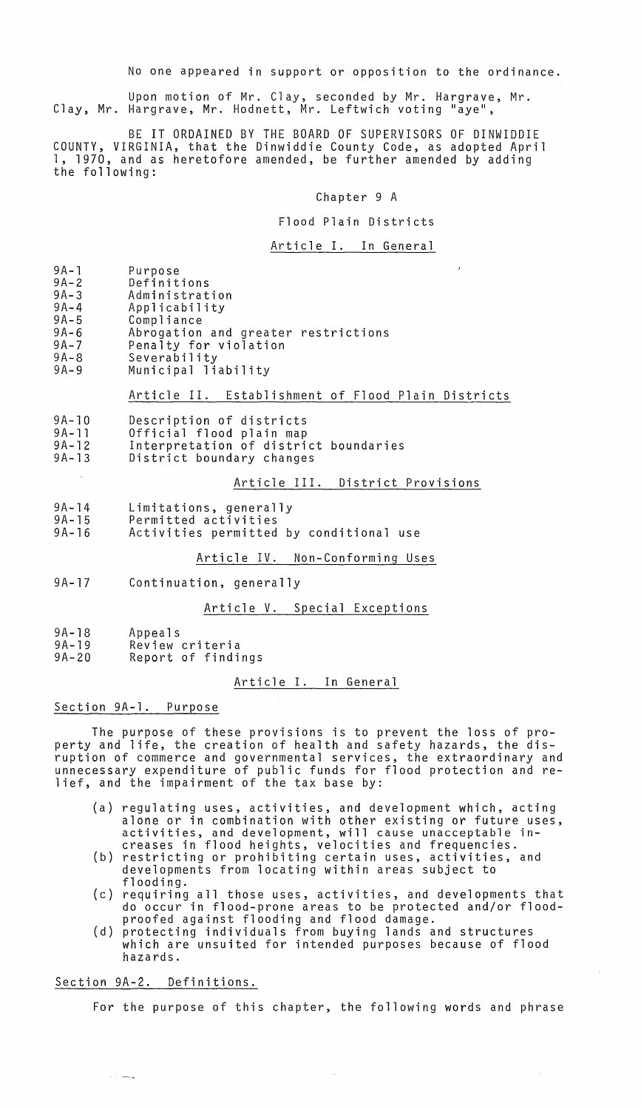No one appeared in support or opposition to the ordinance.

Upon motion of Mr. Clay, seconded by Mr. Hargrave, Mr. Clay, Mr. Hargrave, Mr. Hodnett, Mr. Leftwich voting "aye",

BE IT ORDAINED BY THE BOARD OF SUPERVISORS OF DINWIDDIE COUNTY, VIRGINIA, that the Dinwiddie County Code, as adopted April 1, 1970, and as heretofore amended, be further amended by adding the following:

#### Chapter 9 A

#### Flood Plain Districts

#### Article I. In General

- 
- 9A-1 Purpose<br>9A-2 Definitions<br>9A-3 Administrat
- 9A-3 Administration<br>9A-4 Applicability
- 9A-4 Applicability<br>9A-5 Compliance
- 9A-5 Compliance 9A-6 Abrogation and greater restrictions<br>9A-7 Penalty for violation
- 9A-7 Penalty for violation<br>9A-8 Severability
- 9A-8 Severability
- Municipal liability

#### Article II. Establishment of Flood Plain Districts

- 9A-10 Description of districts
- 9A-ll Official flood plain map
- 9A-12 9A-13 Interpretation of district boundaries District boundary changes

# Article III. District Provisions

- 9A-14 Limitations, generally
- 9A-15 Permitted activities
- 9A-16 Activities permitted by conditional use

# Article IV. Non-Conforming Uses

9A-17 Continuation, generally

#### Article V. Special Exceptions

- 9A-18 Appeals
- 9A-19 Review criteria
- 9A-20 Report of findings

# Article I. In General

# Section 9A-l. Purpose

The purpose of these provisions is to prevent the loss of property and life, the creation of health and safety hazards, the disruption of commerce and governmental services, the extraordinary and unnecessary expenditure of public funds for flood protection and relief, and the impairment of the tax base by:

- (a) regulating uses, activities, and development which, acting alone or in combination with other existing or future uses, activities, and development, will cause unacceptable in-<br>creases in flood heights, velocities and frequencies.
- (b) restricting or prohibiting certain uses, activities, and developments from locating within areas subject to flooding.
- (c) requiring all those uses, activities, and developments that do occur in flood-prone areas to be protected and/or floodproofed against flooding and flood damage.
- (d) protecting individuals from buying lands and structures which are unsuited for intended purposes because of flood hazards.

### Section 9A-2. Definitions.

لموسدات

For the purpose of this chapter, the following words and phrase

 $\sim 10^{11}$  km  $^{-1}$  ,  $\sim 10^{11}$  km  $^{-1}$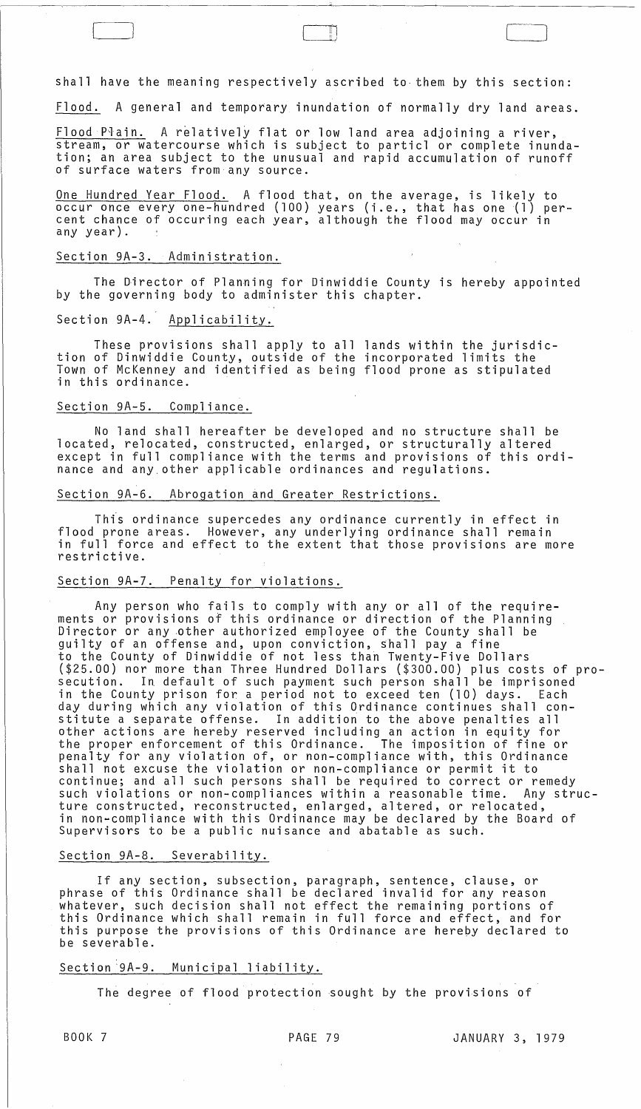shall have the meaning respectively ascribed to them by this section:

" | I

Flood. A general and temporary inundation of normally dry land areas.

 $F$ lood P $\bar{r}$ ain. A relatively flat or low land area adjoining a river, stream, or watercourse which is subject to particl or complete inundation; an area subject to the unusual and rapid accumulation of runoff of surface waters from any source.

One Hundred Year Flood. A flood that, on the average, is likely to occur once everyone-hundred (100) years (i.e., that has one (1) percent chance of occuring each year, although the flood may occur in any year).

# Section 9A-3. Administration.

The Director of Planning for Dinwiddie County is hereby appointed by the governing body to administer this chapter.

# Section 9A-4. Applicability.

These provisions shall apply to all lands within the jurisdiction of Dinwiddie County, outside of the incorporated limits the Town of McKenney and identified as being flood prone as stipulated in this ordinance.

### Section 9A-5. Compliance.

No land shall hereafter be developed and no structure shall be located, relocated, constructed, enlarged, or structurally altered except in full compliance with the terms and provisions of this ordinance and anY,other applicable ordinances and regulations.

### Section 9A-6. Abrogation and Greater Restrictions.

This ordinance supercedes any ordinance currently in effect in flood prone areas. However, any underlying ordinance shall remain in full force and effect to the extent that those provisions are more restrictive.

# Section 9A-7. Penalty for violations.

Any person who fails to comply with any or all of the requirements or provisions of this ordinance or direction of the Planning Director or any other authorized employee of the County shall be guilty of an offense and, upon conviction, Shall pay a fine to the County of Dinwiddie of not less than Twenty-Five Dollars (\$25.00) nor more than Three Hundred Dollars (\$300.00) plus costs of prosecution. In default of such payment such person shall be imprisoned in the County prison for a period not to exceed ten (10) days. Each day during which any violation of this Ordinance continues shall constitute a separate offense. In addition to the above penalties all other actions are hereby reserved including an action in equity for the proper enforcement of this Ordinance. The imposition of fine or penalty for any violation of, or non-compliance with, this Ordinance shall not excuse the violation or non-compliance or permit it to continue; and all such persons shall be required to correct or remedy such violations or non-compliances within a reasonable time. Any structure constructed, reconstructed, enlarged, altered, or relocated, in non-compliance with this Ordinance may be declared by the Board of Supervisors to be a public nuisance and abatable as such.

### Section 9A-8. Severability.

If any section, subsection, paragraph, sentence, clause, or phrase of this Ordinance shall be declared invalid for any reason Whatever, such decision shall not effect the remaining portions of this Ordinance which shall remain in full force and effect, and for this purpose the provisions of this Ordinance are herepy declared to be severable.

# Section '9A-9. Municipal liability.

 $\sim$ 

The degree of flood protection sought by the provisions of

 $\alpha$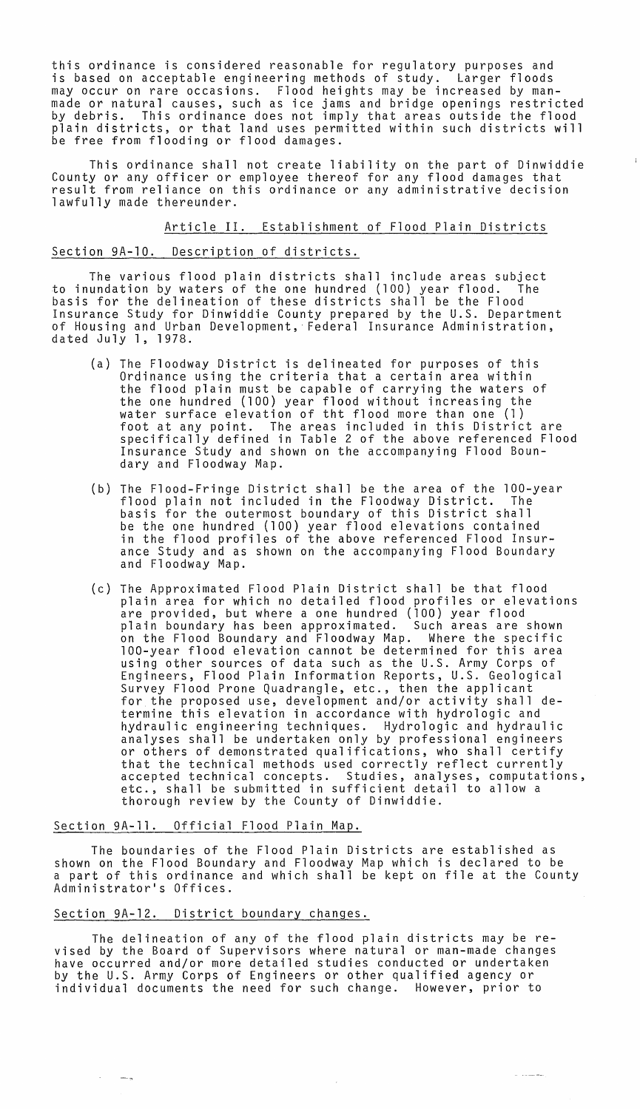this ordinance is considered reasonable for regulatory purposes and<br>is based on acceptable engineering methods of study. Larger floods is based on acceptable engineering methods of study. may occur on rare occasions. Flood heights may be increased by manmade or natural causes, such as ice jams and bridge openings restricted by debris. This ordinance does not imply that areas outside the flood plain districts, or that land uses permitted within such districts will be free from flooding or flood damages.

This ordinance shall not create liability on the part of Dinwiddie County or any officer or employee thereof for any flood damages that result from reliance on this ordinance or any administrative decision lawfully made thereunder.

Article II. Establishment of Flood Plain Districts

# Section 9A-10. Description of districts.

The various flood plain districts shall include areas subject<br>undation by waters of the one hundred (100) year flood. The to inundation by waters of the one hundred (100) year flood. basis for the delineation of these districts shall be the Flood Insurance Study for Dinwiddie County prepared by the U.S. Department of Housing and Urban Development, Federal Insurance Administration, dated July 1, 1978.

- (a) The F100dway District is delineated for purposes of this Ordinance using the criteria that a certain area within the flood plain must be capable of carrying the waters of the one hundred (100) year flood without increasing the water surface elevation of tht flood more than one (1) foot at any point. The areas included in this District are specifically defined in Table 2 of the above referenced Flood Insurance Study and shown on the accompanying Flood Boundary and F100dway Map.
- (b) The Flood-Fringe District shall be the area of the 100-year flood plain not included in the Floodway District. The basis for the outermost boundary of this District shall be the one hundred (100) year flood elevations contained in the flood profiles of the above referenced Flood Insurance Study and as shown on the accompanying Flood Boundary and F100dway Map.
- (c) The Approximated Flood Plain District shall be that flood plain area for which no detailed flood profiles or elevations are provided, but where a one hundred (100) year flood plain boundary has been approximated. Such areas are shown on the Flood Boundary and Floodway Map. Where the specific 100-year flood elevation cannot be determined for this area using other sources of data such as the U.S. Army Corps of Engineers, Flood Plain Information Reports, U.S. Geological Survey Flood Prone Quadrangle, etc., then the applicant for the proposed use, development and/or activity shall determine this elevation in accordance with hydrologic and hydraulic engineering techniques. Hydrologic and hydraulic analyses shall be undertaken only by professional engineers or others of demonstrated qualifications, who shall certify<br>that the technical methods used correctly reflect currently accepted technical concepts. Studies, analyses, computations, etc., shall be submitted in sufficient detail to allow a thorough review by the County of Dinwiddie.

# Section 9A-11. Official Flood Plain Map.

The boundaries of the Flood Plain Districts are established as shown on the Flood Boundary and Floodway Map which is declared to be a part of this ordinance and which shall be kept on file at the County Administrator's Offices.

### Section 9A-12. District boundary changes.

 $\longrightarrow$   $_{\rm B}$ 

The delineation of any of the flood plain districts may be revised by the Board of Supervisors where natural or man-made changes have occurred and/or more detailed studies conducted or undertaken by the U.S. Army Corps of Engineers or other qualified agency or individual documents the need for such change. However, prior to

 $\sim 10^7$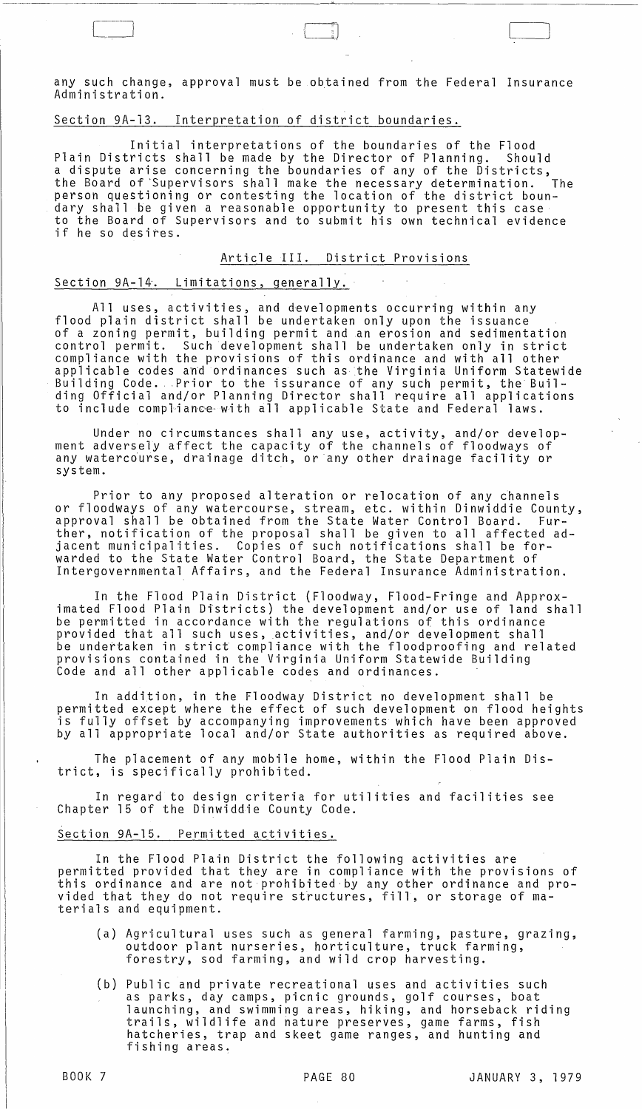any such change, approval must be obtained from the Federal Insurance Administration.

# Section 9A-13. Interpretation of district boundaries.

Initial interpretations of the boundaries of the Flood Plain Districts shall be made by the Director of Planning. Should a dispute arise concerning the boundaries of any of the Districts,<br>the Board of Supervisors shall make the necessary determination. The the Board of'Supervisors shall make the necessary determination. The person questioning or contesting the location of the district boundary shall be given a reasonable opportunity to present this case to the Board of Supervisors and to submit his own technical evidence if he so desires.

Article III. District Provisions

# Section 9A-14. Limitations, generally.

All uses, activities, and developments occurring within any flood plain district shall be undertaken only upon the issuance of a zoning permit, building permit and an erosion and sedimentation control permit. Such development shall be undertaken only in strict compliance with the provisions of this ordinance and with all other esmprishes nion one provisions of only ordinance and mish arrow the<br>applicable codes and ordinances such as the Virginia Uniform Statewide<br>Building Official and/on Blanning Dineston shall nequine all applications Building Code. Prior to the issurance of any such permit, the Buil-<br>ding Official and/or Planning Director shall require all applications to include compliance with all applicable State and Federal laws.

Under no circumstances shall any use, activity, and/or development adversely affect the capacity of the channels of floodways of any watercdurse, drainage ditch, or any other drainage facility or system.

Prior to any proposed alteration or relocation of any channels or floodways of any watercourse, stream, etc. within Dinwiddie County, approval shall be obtained from the State Water Control Board. Further, notification of the proposal shall be given to all affected adjacent municipalities. Copies of such notifications shall be forwarded to the State Water Control Board, the State Department of Intergovernmental Affairs, and the Federal Insurance Administration.

In the Flood Plain District (Floodway, Flood-Fringe and Approximated Flood Plain Districts) the development and/or use of land shall be permitted in accordance with the regulations of this ordinance provided that all such uses, activities, and/or development shall be undettaken in strict compliance with the floodproofing and related provisions contained in the Virginia Uniform Statewide Building Code and all other applicable codes and ordinances.

In addition, in the Floodway District no development shall be permitted except where the effect of such development on flood heights is fully offset by accompanying improvements which have been approved by all appropriate local and/or State authorities as required above.

The placement of any mobile home, within the Flood Plain District, is specifically prohibited.

In regard to design criteria for utilities and facilities see Chapter 15 of the Dinwiddie County Code.

## Section 9A-15. Permitted activities.

In the Flood Plain District the following activities are permitted provided that they are in compliance with the provisions of this ordinance and are not prohibited by any other ordinance and provided that they do not require structures, fill, or storage of materials and equipment.

- (a) Agricultural uses such as general farming, pasture, grazing, outdoor plant nurseries, horticulture, truck farming, forestry, sod farming, and wild crop harvesting.
- (b) Public and private recreational uses and activities such as parks, day camps, picnic grounds, golf courses, boat launching, and swimming areas, hiking, and horseback riding trails, wildlife and nature preserves, game farms, fish hatcheries, trap and skeet game ranges, and hunting and fishing areas.

 $\bigcup$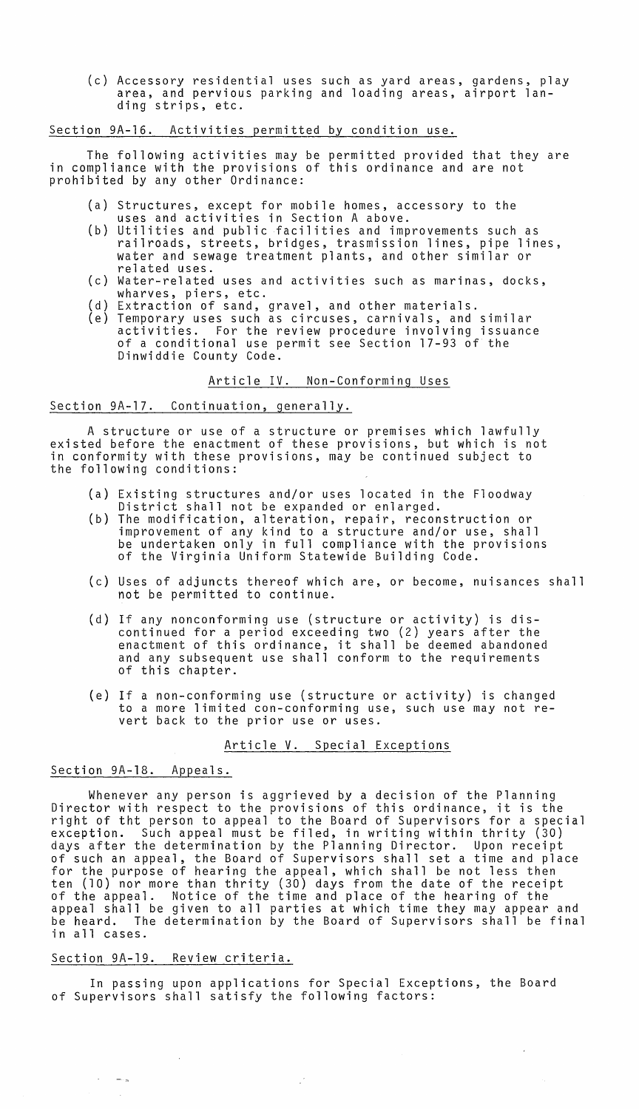(c) Accessory residential uses such as yard areas, gardens, play area, and pervious parking and loading areas, airport landing strips, etc.

# Section 9A-16. Activities permitted by condition use.

The following activities may be permitted provided that they are in compliance with the provisions of this ordinance and are not prohibited by any other Ordinance:

- ( a ) Structures, except for mobile homes, accessory to the
- (b) Utilities and public facilities and improvements such as uses and activities in Section A above.
- railroads, streets, bridges, trasmission lines, pipe lines, water and sewage treatment plants, and other similar or related uses.
- ( c ) Water-related uses and activities such as marinas, docks, wharves, piers, etc.
- ( d ) Extraction of sand, gravel, and other materials.
- (e) Temporary uses such as circuses, carnivals, and similar activities. For the review procedure involving issuance of a conditional use permit see Section 17-93 of the Dinwiddie County Code.

# Article IV. Non-Conforming Uses

## Section 9A-17. Continuation, generally.

A structure or use of a structure or premises which lawfully existed before the enactment of these provisions, but which is not in conformity with these provisions, may be continued subject to the following conditions:

- (a) Existing structures and/or uses located in the Floodway District shall not be expanded or enlarged.
- (b) The modification, alteration, repair, reconstruction or improvement of any kind to a structure and/or use, shall be undertaken only in full compliance with the provisions of the Virginia Uniform Statewide Building Code.
- (c) Uses of adjuncts thereof which are, or become, nuisances shall not be permitted to continue.
- (d) If any nonconforming use (structure or activity) is discontinued for a period exceeding two (2) years after the enactment of this ordinance, it shall be deemed abandoned and any subsequent use shall conform to the requirements of this chapter.
- (e) If a non-conforming use (structure or activity) is changed to a more limited con-conforming use, such use may not revert back to the prior use or uses.

Article V. Special Exceptions

# Section 9A-18. Appeals.

Whenever any person is aggrieved by a decision of the Planning Director with respect to the provisions of this ordinance, it is the right of tht person to appeal to the Board of Supervisors for a special exception. Such appeal must be filed, in writing within thrity (30) days after the determination by the Planning Director. Upon receipt of such an appeal, the Board of Supervisors shall set a time and place for the purpose of hearing the appeal, which shall be not less then ten (10) nor more than thrity (30) days from the date of the receipt of the appeal. Notice of the time and place of the hearing of the appeal shall be given to all parties at which time they may appear and be heard. The determination by the Board of Supervisors shall be final in all cases.

### Section 9A-19. Review criteria.

 $\sim 10^{-11}$ 

 $\mathcal{C}^{\text{max}}_{\text{max}}$  and  $\mathcal{C}^{\text{max}}_{\text{max}}$ 

 $\sim$ 

In passing upon applications for Special Exceptions, the Board of Supervisors shall satisfy the following factors:

 $\label{eq:2.1} \frac{1}{\sqrt{2}}\sum_{i=1}^n\frac{1}{\sqrt{2}}\left(\frac{1}{\sqrt{2}}\right)^2\left(\frac{1}{\sqrt{2}}\right)^2\left(\frac{1}{\sqrt{2}}\right)^2.$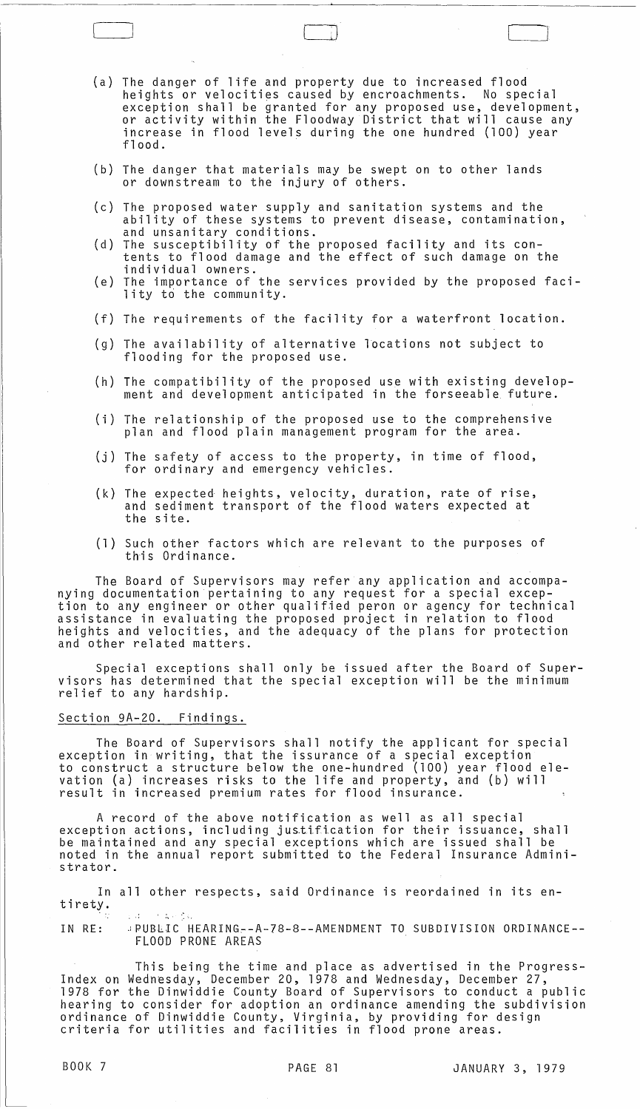(a) The danger of life and property due to increased flood heights or velocities caused by encroachments. No special exception shall be granted for any proposed use, development, or activity within the F100dway District that will cause any increase in flood levels during the one hundred (100) year<br>flood.

LJ

- (b) The danger that materials may be swept on to other lands or downstream to the injury of others.
- (c) The proposed water supply and sanitation systems and the ability of these systems to prevent disease, contamination, and unsanitary conditions.
- (d) The susceptibility of the proposed facility and its contents to flood damage and the effect of such damage on the individual owners.
- (e) The importance of the services provided by the proposed facility to the community.
- (f) The requirements of the facility for a waterfront location.
- (g) The availability of alternative locations not subject to flooding for the proposed use.
- (h) The compatibility of the proposed use with existing development and development anticipated in the forseeab1e future.
- (i) The relationship of the proposed use to the comprehensive plan and flood plain management program for the area.
- (j) The safety of access to the property, in time of flood, for ordinary and emergency vehicles.
- (k) The expected heights, velocity, duration, rate of rise, and sediment transport of the flood waters expected at the site.
- (1) Such other factors which are relevant to the purposes of this Ordinance.

The Board of Supervisors may refer any application and accompanying documentation pertaining to any request for a special exception to any engineer or other qualified peron or agency for technical assistance in evaluating the proposed project in relation to flood heights and velocities, and the adequacy of the plans for protection and other related matters.

Special exceptions shall only be issued after the Board of Supervisors has determined that the special exception will be the minimum relief to any hardship.

# Section 9A-20. Findings.

The Board of Supervisors shall notify the applicant for special exception in writing, that the issurance of a special exception to construct a structure below the one-hundred (100) year flood elevation (a) increases risks to the life and property, and (b) will result in increased premium rates for flood insurance.

A record of the above notification as well as all special exception actions, including jus.tification for their issuance, shall be maintained and any special exceptions which are issued shall be noted in the annual report submitted to the Federal Insurance Administrator.

In all other respects, said Ordinance is reordained in its entirety. . .. .~'. '"

IN RE: .IPUBLIC HEARING~-A-78-8--AMENDMENT TO SUBDIVISION ORDINANCE-- FLOOD PRONE AREAS

This being the time and place as advertised in the Progress-Index on Wednesday, December 20, 1978 and Wednesday, December 27, 1978 for the Dinwiddie County Board of Supervisors to conduct a public hearing to consider for adoption an ordinance amending the subdivision ordinance of Dinwiddie County, Virginia, by providing for design criteria for utilities and facilities in flood prone areas.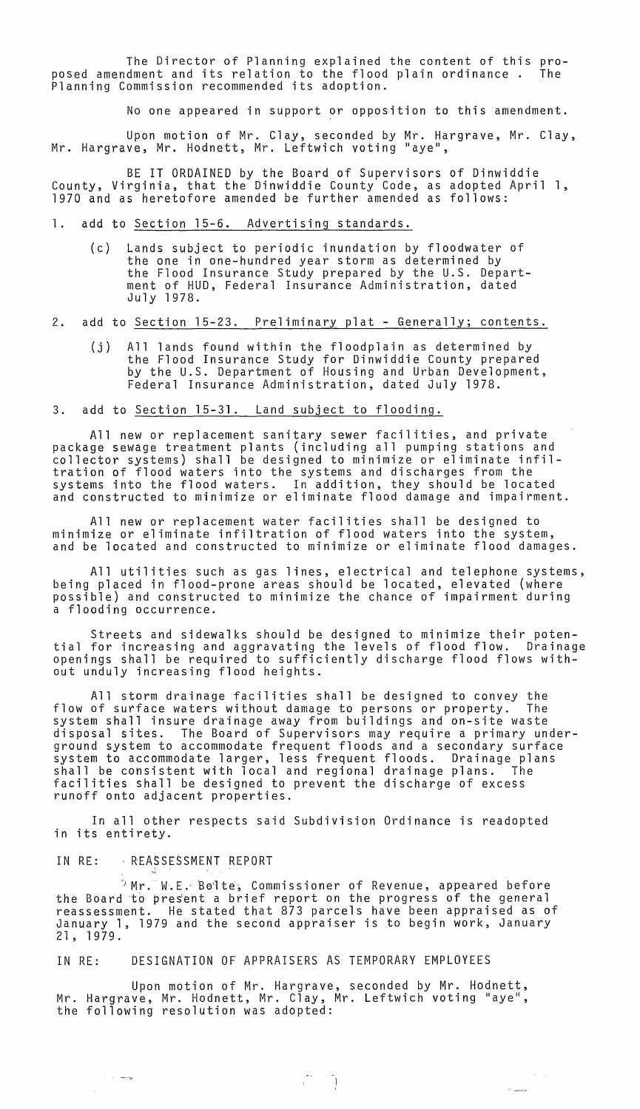The Director of Planning explained the content of this pro-<br>dment and its relation to the flood plain ordinance. The posed amendment and its relation to the flood plain ordinance. Planning Commission recommended its adoption.

No one appeared in support or opposition to this amendment.

Upon motion of Mr. Clay, seconded by Mr. Hargrave, Mr. Clay, Mr. Hargrave, Mr. Hodnett, Mr. Leftwich voting "aye",

BE IT ORDAINED by the Board of Supervisors of Dinwiddie County, Virginia, that the Dinwiddie County Code, as adopted April 1, 1970 and as heretofore amended be further amended as follows:

- 1. add to Section 15-6. Advertising standards.
	- (c) Lands subject to periodic inundation by floodwater of the one in one-hundred year storm as determined by the Flood Insurance Study prepared by the U.S. Department of HUD, Federal Insurance Administration, dated July 1978.
- 2. add to Section 15-23. Preliminary plat Generally; contents.
	- (j) All lands found within the floodplain as determined by the Flood Insurance Study for Dinwiddie County prepared by the U.S. Department of Housing and Urban Development, Federal Insurance Administration, dated July 1978.

# 3. add to Section 15-31. Land subject to flooding.

All new or replacement sanitary sewer facilities, and private package sewage treatment plants (including all pumping stations and collector systems) shall be designed to minimize or eliminate infiltration of flood waters into the systems and discharges from the systems into the flood waters. In addition, they should be located and constructed to minimize or eliminate flood damage and impairment.

All new or replacement water facilities shall be designed to minimize or eliminate infiltration of flood waters into the system, and be located and constructed to minimize or eliminate flood damages.

All utilities such as gas lines, electrical and telephone systems, being placed in flood-prone areas should be located, elevated (where possible) and constructed to minimize the chance of impairment during a flooding occurrence.

Streets and sidewalks should be designed to minimize their poten-<br>tial for increasing and aggravating the levels of flood flow. Drainage openings shall be required to sufficiently discharge flood flows without unduly increasing flood heights.

All storm drainage facilities shall be designed to convey the flow of surface waters without damage to persons or property. The system shall insure drainage away from buildings and on-site waste disposal sites. The Board of Supervisors may require a primary underground system to accommodate frequent floods and a secondary surface system to accommodate larger, less frequent floods. Drainage plans shall be consistent with local and regional drainage plans. The facilities shall be designed to prevent the discharge of excess rundff onto adjacent properties.

In all other respects said Subdivision Ordinance is readopted in its entirety.

#### IN RE: REASSESSMENT REPORT

 $\alpha\in\mathbb{R}^d$  , where  $\alpha$ 

 $\sim$ 

 $^{\circ}$  Mr. W.E. Bolte, Commissioner of Revenue, appeared before the Board to present a brief report on the progress of the general reassessment. He stated that 873 parcels have been appraised as of January 1, 1979 and the second appraiser is to begin work, January 21, 1979.

IN RE: DESIGNATION OF APPRAISERS AS TEMPORARY EMPLOYEES

Upon motion of Mr. Hargrave, seconded by Mr. Hodnett, Mr. Hargrave, Mr. Hodnett, Mr. Clay, Mr. Leftwich voting "aye", the following resolution was adopted:

 $\mathcal{L} = \mathcal{L}$ 

 $\epsilon_{\rm{max}}=2.5$  and

 $\mathcal{M}_{\rm{maxmax}}$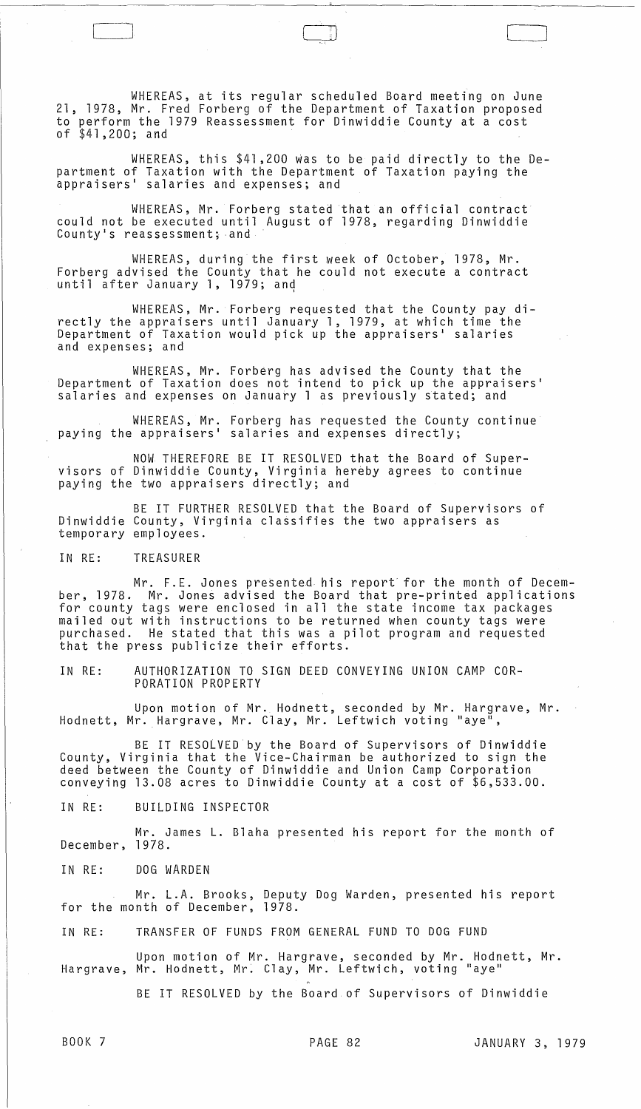WHEREAS, at its regular scheduled Board meeting on June 21, 1978, Mr. Fred Forberg of the Department of Taxation proposed to perform the 1979 Reassessment for Dinwiddie County at a cost of \$41,200; and

CJ [

WHEREAS, this \$41,200 was to be paid directly to the Department of Taxation with the Department of Taxation paying the appraisers ' salaries and expenses; and

WHEREAS, Mr. Forberg stated that an official contract could not be executed until August of 1978, regarding Dinwiddie County's reassessment; and

WHEREAS, during the first week of October, 1978, Mr. Forberg advised the County that he could not execute a contract until after January 1, 1979; and

WHEREAS, Mr. Forberg requested that the County pay directly the appraisers until January 1, 1979, at which time the Department of Taxation would pick up the appraisers' salaries and expenses; and

WHEREAS, Mr. Forberg has advised the County that the Department of Taxation does not intend to pick up the appraisers ' salaries and expenses on January 1 as previously stated; and

WHEREAS, Mr. Forberg has requested the County continue paying the appraisers' salaries and expenses directly;

NOW THEREFORE BE IT RESOLVED that the Board of Supervisors of Dinwiddie County, Virginia hereby agrees to continue paying the two appraisers directly; and

BE IT FURTHER RESOLVED that the Board of Supervisors of Dinwiddie County, Virginia classifies the two appraisers as temporary employees.

IN RE: TREASURER

Mr. F.E. Jones presented his report for the month of Decem-<br>ber, 1978. Mr. Jones advised the Board that pre-printed applications Mr. Jones advised the Board that pre-printed applications for county tags were enclosed in all the state income tax packages mailed out with instructions to be returned when county tags were purchased. He stated that this was a pilot program and requested that the press publicize their efforts.

IN RE: AUTHORIZATION TO SIGN DEED CONVEYING UNION CAMP COR-PORATION PROPERTY

Upon motion of Mr. Hodnett, seconded by Mr. Hargrave, Mr. Hodnett, Mr. Hargrave, Mr. Clay, Mr. Leftwich voting "aye",

BE IT RESOLVED by the Board of Supervisors of Dinwiddie County, Virginia that the Vice-Chairman be authorized to sign the deed between the County of Dinwiddie and Union Camp Corporation conveying 13.08 acres to Dinwiddie County at a cost of \$6,533.00.

IN RE: BUILDING INSPECTOR

Mr. James L. Blaha presented his report for the month of December, 1978.

IN RE: DOG WARDEN

Mr. L.A. Brooks, Deputy Dog Warden, presented his report for the month of December, 1978.

IN RE: TRANSFER OF FUNDS FROM GENERAL FUND TO DOG FUND

Upon motion of Mr. Hargrave, seconded by Mr. Hodnett, Mr. Hargrave, Mr. Hodnett, Mr: Clay, Mr. Leftwich, voting "aye"

BE IT RESOLVED by the Board of Supervisors of Dinwiddie

 $\int$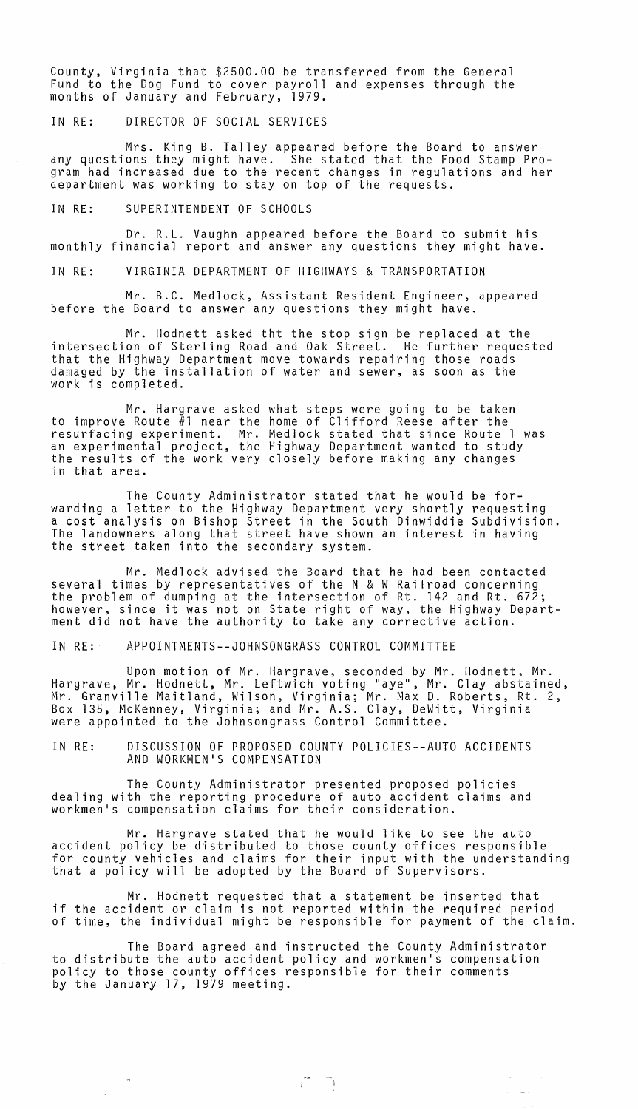County, Virginia that \$2500.00 be transferred from the General Fund to the Dog Fund to cover payroll and expenses through the months of January and February, 1979.

IN RE: DIRECTOR OF SOCIAL SERVICES

Mrs. King B. Talley appeared before the Board to answer any questions they might have. She stated that the Food Stamp Program had increased due to the recent changes in regulations and her department was working to stay on top of the requests.

IN RE: SUPERINTENDENT OF SCHOOLS

Dr. R.L. Vaughn appeared before the Board to submit his monthly financial report and answer any questions they might have.

IN RE: VIRGINIA DEPARTMENT OF HIGHWAYS & TRANSPORTATION

Mr. B.C. Medlock, Assistant Resident Engineer, appeared before the Board to answer any questions they might have.

Mr. Hodnett asked tht the stop sign be replaced at the intersection of Sterling Road and Oak Street. He further requested that the Highway Department move towards repairing those roads damaged by the installation of water and sewer, as soon as the work is completed.

Mr. Hargrave asked what steps were going to be taken to improve Route #1 near the home of Clifford Reese after the resurfacing experiment. Mr. Medlock stated that since Route 1 was an experimental project, the Highway Department wanted to study the results of the work very closely before making any changes in that area.

The County Administrator stated that he would be forwarding a letter to the Highway Department very shortly requesting a cost analysis on Bishop Street in the South Dinwiddie Subdivision. The landowners along that street have shown an interest in having the street taken into the secondary system.

Mr. Medlock advised the Board that he had been contacted several times by representatives of the N & W Railroad concerning the problem of dumping at the intersection of Rt. 142 and Rt. 672; however, since it was not on State right of way, the Highway Department did not have the authority to take any corrective action.

IN RE: APPOINTMENTS--JOHNSONGRASS CONTROL COMMITTEE

Upon motion of Mr. Hargrave, seconded by Mr. Hodnett, Mr. Hargrave, Mr. Hodnett, Mr. Leftwich voting "aye", Mr. Clay abstained, Mr. Granville Maitland, Wilson, Virginia; Mr. Max D. Roberts, Rt. 2, Box 135, McKenney, Virginia; and Mr. A.S. Clay, DeWitt, Virginia were appointed to the Johnsongrass Control Committee.

IN RE: DISCUSSION OF PROPOSED COUNTY POLICIES--AUTO ACCIDENTS AND WORKMEN'S COMPENSATION

The County Administrator presented proposed policies dealing with the reporting procedure of auto accident claims and workmen's compensation claims for their consideration.

Mr. Hargrave stated that he would like to see the auto accident policy be distributed to those county offices responsible for county vehicles and claims for their input with the understanding that a policy will be adopted by the Board of Supervisors.

Mr. Hodnett requested that a statement be inserted that if the accident or claim is not reported within the required period<br>of time, the individual might be responsible for payment of the claim.

 $\sqrt{2}$ 

 $\sigma$ 

لأنشيتها كا

The Board agreed and instructed the County Administrator to distribute the auto accident policy and workmen's compensation policy to those county offices responsible for their comments by the January 17, 1979 meeting.

 $\mathcal{O}(\mathcal{O}(\log n))$ 

 $\sim$